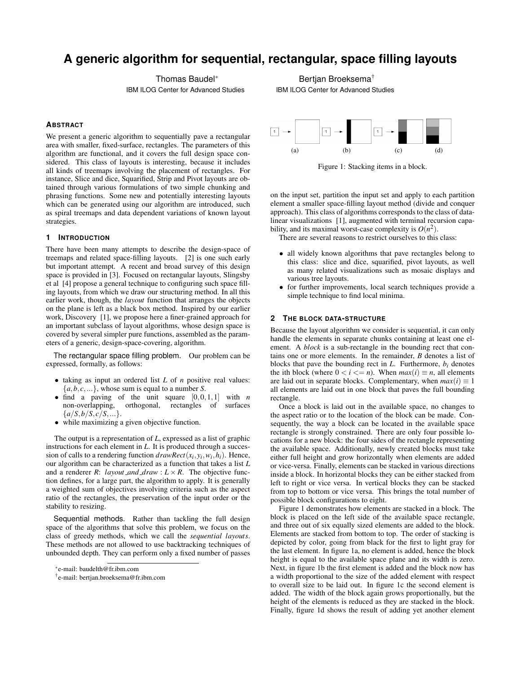# **A generic algorithm for sequential, rectangular, space filling layouts**

Thomas Baudel<sup>∗</sup>

IBM ILOG Center for Advanced Studies

# **ABSTRACT**

We present a generic algorithm to sequentially pave a rectangular area with smaller, fixed-surface, rectangles. The parameters of this algorithm are functional, and it covers the full design space considered. This class of layouts is interesting, because it includes all kinds of treemaps involving the placement of rectangles. For instance, Slice and dice, Squarified, Strip and Pivot layouts are obtained through various formulations of two simple chunking and phrasing functions. Some new and potentially interesting layouts which can be generated using our algorithm are introduced, such as spiral treemaps and data dependent variations of known layout strategies.

# **1 INTRODUCTION**

There have been many attempts to describe the design-space of treemaps and related space-filling layouts. [2] is one such early but important attempt. A recent and broad survey of this design space is provided in [3]. Focused on rectangular layouts, Slingsby et al [4] propose a general technique to configuring such space filling layouts, from which we draw our structuring method. In all this earlier work, though, the *layout* function that arranges the objects on the plane is left as a black box method. Inspired by our earlier work, Discovery [1], we propose here a finer-grained approach for an important subclass of layout algorithms, whose design space is covered by several simpler pure functions, assembled as the parameters of a generic, design-space-covering, algorithm.

The rectangular space filling problem. Our problem can be expressed, formally, as follows:

- taking as input an ordered list *L* of *n* positive real values:  ${a,b,c,...}$ , whose sum is equal to a number *S*.
- find a paving of the unit square  $[0,0,1,1]$  with *n* non-overlapping, orthogonal, rectangles of surfaces  $\{a/S, b/S, c/S, ...\}.$
- while maximizing a given objective function.

The output is a representation of *L*, expressed as a list of graphic instructions for each element in *L*. It is produced through a succession of calls to a rendering function  $drawRect(x_i, y_i, w_i, h_i)$ . Hence, our algorithm can be characterized as a function that takes a list *L* and a renderer *R*: *layout\_and\_draw* :  $L \times R$ . The objective function defines, for a large part, the algorithm to apply. It is generally a weighted sum of objectives involving criteria such as the aspect ratio of the rectangles, the preservation of the input order or the stability to resizing.

Sequential methods. Rather than tackling the full design space of the algorithms that solve this problem, we focus on the class of greedy methods, which we call the *sequential layouts*. These methods are not allowed to use backtracking techniques of unbounded depth. They can perform only a fixed number of passes

Bertjan Broeksema† IBM ILOG Center for Advanced Studies



Figure 1: Stacking items in a block.

on the input set, partition the input set and apply to each partition element a smaller space-filling layout method (divide and conquer approach). This class of algorithms corresponds to the class of datalinear visualizations [1], augmented with terminal recursion capability, and its maximal worst-case complexity is  $O(n^2)$ .

There are several reasons to restrict ourselves to this class:

- all widely known algorithms that pave rectangles belong to this class: slice and dice, squarified, pivot layouts, as well as many related visualizations such as mosaic displays and various tree layouts.
- for further improvements, local search techniques provide a simple technique to find local minima.

### **2 THE BLOCK DATA-STRUCTURE**

Because the layout algorithm we consider is sequential, it can only handle the elements in separate chunks containing at least one element. A *block* is a sub-rectangle in the bounding rect that contains one or more elements. In the remainder, *B* denotes a list of blocks that pave the bounding rect in  $L$ . Furthermore,  $b_i$  denotes the ith block (where  $0 < i < = n$ ). When  $max(i) \equiv n$ , all elements are laid out in separate blocks. Complementary, when  $max(i) \equiv 1$ all elements are laid out in one block that paves the full bounding rectangle.

Once a block is laid out in the available space, no changes to the aspect ratio or to the location of the block can be made. Consequently, the way a block can be located in the available space rectangle is strongly constrained. There are only four possible locations for a new block: the four sides of the rectangle representing the available space. Additionally, newly created blocks must take either full height and grow horizontally when elements are added or vice-versa. Finally, elements can be stacked in various directions inside a block. In horizontal blocks they can be either stacked from left to right or vice versa. In vertical blocks they can be stacked from top to bottom or vice versa. This brings the total number of possible block configurations to eight.

Figure 1 demonstrates how elements are stacked in a block. The block is placed on the left side of the available space rectangle, and three out of six equally sized elements are added to the block. Elements are stacked from bottom to top. The order of stacking is depicted by color, going from black for the first to light gray for the last element. In figure 1a, no element is added, hence the block height is equal to the available space plane and its width is zero. Next, in figure 1b the first element is added and the block now has a width proportional to the size of the added element with respect to overall size to be laid out. In figure 1c the second element is added. The width of the block again grows proportionally, but the height of the elements is reduced as they are stacked in the block. Finally, figure 1d shows the result of adding yet another element

<sup>∗</sup> e-mail: baudelth@fr.ibm.com

<sup>†</sup> e-mail: bertjan.broeksema@fr.ibm.com